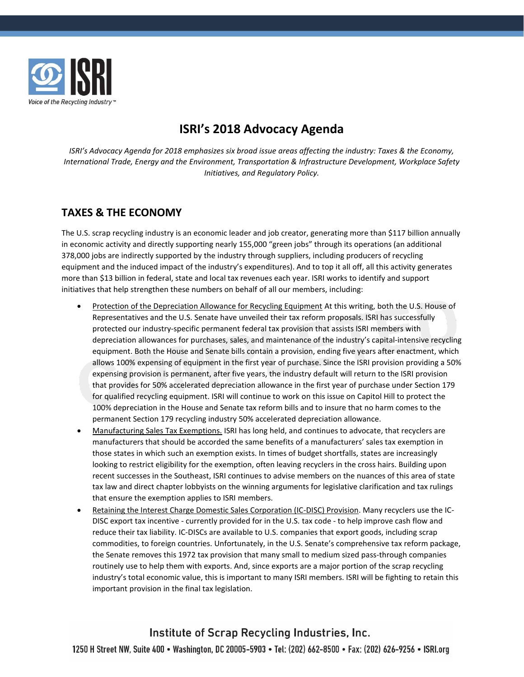

# **ISRI's 2018 Advocacy Agenda**

*ISRI's Advocacy Agenda for 2018 emphasizes six broad issue areas affecting the industry: Taxes & the Economy, International Trade, Energy and the Environment, Transportation & Infrastructure Development, Workplace Safety Initiatives, and Regulatory Policy.*

### **TAXES & THE ECONOMY**

The U.S. scrap recycling industry is an economic leader and job creator, generating more than \$117 billion annually in economic activity and directly supporting nearly 155,000 "green jobs" through its operations (an additional 378,000 jobs are indirectly supported by the industry through suppliers, including producers of recycling equipment and the induced impact of the industry's expenditures). And to top it all off, all this activity generates more than \$13 billion in federal, state and local tax revenues each year. ISRI works to identify and support initiatives that help strengthen these numbers on behalf of all our members, including:

- Protection of the Depreciation Allowance for Recycling Equipment At this writing, both the U.S. House of Representatives and the U.S. Senate have unveiled their tax reform proposals. ISRI has successfully protected our industry‐specific permanent federal tax provision that assists ISRI members with depreciation allowances for purchases, sales, and maintenance of the industry's capital‐intensive recycling equipment. Both the House and Senate bills contain a provision, ending five years after enactment, which allows 100% expensing of equipment in the first year of purchase. Since the ISRI provision providing a 50% expensing provision is permanent, after five years, the industry default will return to the ISRI provision that provides for 50% accelerated depreciation allowance in the first year of purchase under Section 179 for qualified recycling equipment. ISRI will continue to work on this issue on Capitol Hill to protect the 100% depreciation in the House and Senate tax reform bills and to insure that no harm comes to the permanent Section 179 recycling industry 50% accelerated depreciation allowance.
- Manufacturing Sales Tax Exemptions. ISRI has long held, and continues to advocate, that recyclers are manufacturers that should be accorded the same benefits of a manufacturers' sales tax exemption in those states in which such an exemption exists. In times of budget shortfalls, states are increasingly looking to restrict eligibility for the exemption, often leaving recyclers in the cross hairs. Building upon recent successes in the Southeast, ISRI continues to advise members on the nuances of this area of state tax law and direct chapter lobbyists on the winning arguments for legislative clarification and tax rulings that ensure the exemption applies to ISRI members.
- Retaining the Interest Charge Domestic Sales Corporation (IC‐DISC) Provision. Many recyclers use the IC‐ DISC export tax incentive ‐ currently provided for in the U.S. tax code ‐ to help improve cash flow and reduce their tax liability. IC‐DISCs are available to U.S. companies that export goods, including scrap commodities, to foreign countries. Unfortunately, in the U.S. Senate's comprehensive tax reform package, the Senate removes this 1972 tax provision that many small to medium sized pass‐through companies routinely use to help them with exports. And, since exports are a major portion of the scrap recycling industry's total economic value, this is important to many ISRI members. ISRI will be fighting to retain this important provision in the final tax legislation.

### Institute of Scrap Recycling Industries, Inc.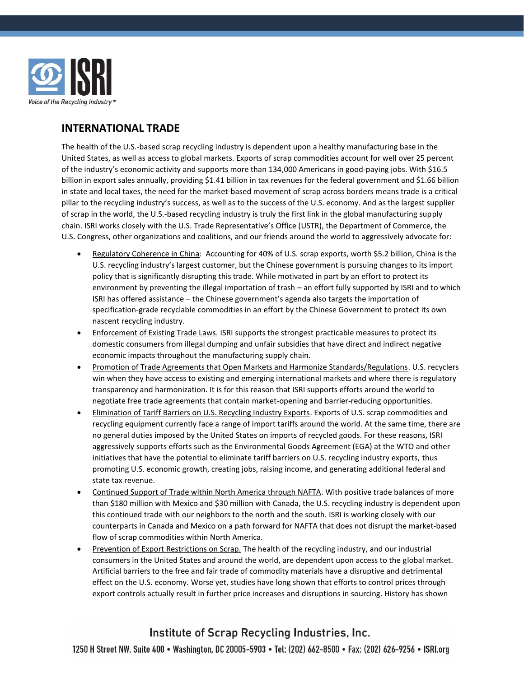

### **INTERNATIONAL TRADE**

The health of the U.S.‐based scrap recycling industry is dependent upon a healthy manufacturing base in the United States, as well as access to global markets. Exports of scrap commodities account for well over 25 percent of the industry's economic activity and supports more than 134,000 Americans in good-paying jobs. With \$16.5 billion in export sales annually, providing \$1.41 billion in tax revenues for the federal government and \$1.66 billion in state and local taxes, the need for the market‐based movement of scrap across borders means trade is a critical pillar to the recycling industry's success, as well as to the success of the U.S. economy. And as the largest supplier of scrap in the world, the U.S.‐based recycling industry is truly the first link in the global manufacturing supply chain. ISRI works closely with the U.S. Trade Representative's Office (USTR), the Department of Commerce, the U.S. Congress, other organizations and coalitions, and our friends around the world to aggressively advocate for:

- Regulatory Coherence in China: Accounting for 40% of U.S. scrap exports, worth \$5.2 billion, China is the U.S. recycling industry's largest customer, but the Chinese government is pursuing changes to its import policy that is significantly disrupting this trade. While motivated in part by an effort to protect its environment by preventing the illegal importation of trash – an effort fully supported by ISRI and to which ISRI has offered assistance – the Chinese government's agenda also targets the importation of specification-grade recyclable commodities in an effort by the Chinese Government to protect its own nascent recycling industry.
- **Enforcement of Existing Trade Laws. ISRI supports the strongest practicable measures to protect its** domestic consumers from illegal dumping and unfair subsidies that have direct and indirect negative economic impacts throughout the manufacturing supply chain.
- Promotion of Trade Agreements that Open Markets and Harmonize Standards/Regulations. U.S. recyclers win when they have access to existing and emerging international markets and where there is regulatory transparency and harmonization. It is for this reason that ISRI supports efforts around the world to negotiate free trade agreements that contain market‐opening and barrier‐reducing opportunities.
- Elimination of Tariff Barriers on U.S. Recycling Industry Exports. Exports of U.S. scrap commodities and recycling equipment currently face a range of import tariffs around the world. At the same time, there are no general duties imposed by the United States on imports of recycled goods. For these reasons, ISRI aggressively supports efforts such as the Environmental Goods Agreement (EGA) at the WTO and other initiatives that have the potential to eliminate tariff barriers on U.S. recycling industry exports, thus promoting U.S. economic growth, creating jobs, raising income, and generating additional federal and state tax revenue.
- Continued Support of Trade within North America through NAFTA. With positive trade balances of more than \$180 million with Mexico and \$30 million with Canada, the U.S. recycling industry is dependent upon this continued trade with our neighbors to the north and the south. ISRI is working closely with our counterparts in Canada and Mexico on a path forward for NAFTA that does not disrupt the market‐based flow of scrap commodities within North America.
- Prevention of Export Restrictions on Scrap. The health of the recycling industry, and our industrial consumers in the United States and around the world, are dependent upon access to the global market. Artificial barriers to the free and fair trade of commodity materials have a disruptive and detrimental effect on the U.S. economy. Worse yet, studies have long shown that efforts to control prices through export controls actually result in further price increases and disruptions in sourcing. History has shown

### Institute of Scrap Recycling Industries, Inc.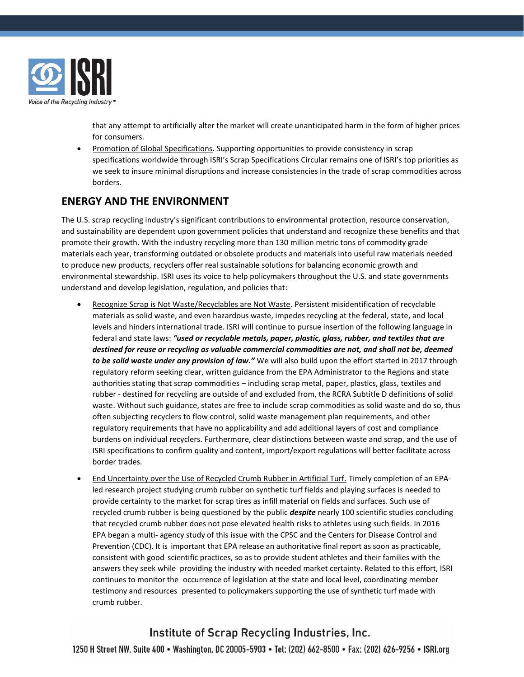

that any attempt to artificially alter the market will create unanticipated harm in the form of higher prices for consumers.

 Promotion of Global Specifications. Supporting opportunities to provide consistency in scrap specifications worldwide through ISRI's Scrap Specifications Circular remains one of ISRI's top priorities as we seek to insure minimal disruptions and increase consistencies in the trade of scrap commodities across borders.

#### **ENERGY AND THE ENVIRONMENT**

The U.S. scrap recycling industry's significant contributions to environmental protection, resource conservation, and sustainability are dependent upon government policies that understand and recognize these benefits and that promote their growth. With the industry recycling more than 130 million metric tons of commodity grade materials each year, transforming outdated or obsolete products and materials into useful raw materials needed to produce new products, recyclers offer real sustainable solutions for balancing economic growth and environmental stewardship. ISRI uses its voice to help policymakers throughout the U.S. and state governments understand and develop legislation, regulation, and policies that:

- Recognize Scrap is Not Waste/Recyclables are Not Waste. Persistent misidentification of recyclable materials as solid waste, and even hazardous waste, impedes recycling at the federal, state, and local levels and hinders international trade. ISRI will continue to pursue insertion of the following language in federal and state laws: *"used or recyclable metals, paper, plastic, glass, rubber, and textiles that are destined for reuse or recycling as valuable commercial commodities are not, and shall not be, deemed to be solid waste under any provision of law."* We will also build upon the effort started in 2017 through regulatory reform seeking clear, written guidance from the EPA Administrator to the Regions and state authorities stating that scrap commodities – including scrap metal, paper, plastics, glass, textiles and rubber ‐ destined for recycling are outside of and excluded from, the RCRA Subtitle D definitions of solid waste. Without such guidance, states are free to include scrap commodities as solid waste and do so, thus often subjecting recyclers to flow control, solid waste management plan requirements, and other regulatory requirements that have no applicability and add additional layers of cost and compliance burdens on individual recyclers. Furthermore, clear distinctions between waste and scrap, and the use of ISRI specifications to confirm quality and content, import/export regulations will better facilitate across border trades.
- End Uncertainty over the Use of Recycled Crumb Rubber in Artificial Turf. Timely completion of an EPA‐ led research project studying crumb rubber on synthetic turf fields and playing surfaces is needed to provide certainty to the market for scrap tires as infill material on fields and surfaces. Such use of recycled crumb rubber is being questioned by the public *despite* nearly 100 scientific studies concluding that recycled crumb rubber does not pose elevated health risks to athletes using such fields. In 2016 EPA began a multi‐ agency study of this issue with the CPSC and the Centers for Disease Control and Prevention (CDC). It is important that EPA release an authoritative final report as soon as practicable, consistent with good scientific practices, so as to provide student athletes and their families with the answers they seek while providing the industry with needed market certainty. Related to this effort, ISRI continues to monitor the occurrence of legislation at the state and local level, coordinating member testimony and resources presented to policymakers supporting the use of synthetic turf made with crumb rubber.

#### Institute of Scrap Recycling Industries, Inc.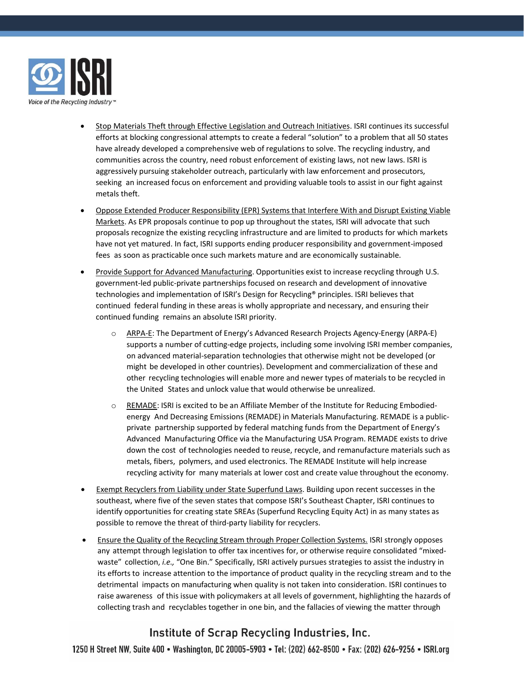

- Stop Materials Theft through Effective Legislation and Outreach Initiatives. ISRI continues its successful efforts at blocking congressional attempts to create a federal "solution" to a problem that all 50 states have already developed a comprehensive web of regulations to solve. The recycling industry, and communities across the country, need robust enforcement of existing laws, not new laws. ISRI is aggressively pursuing stakeholder outreach, particularly with law enforcement and prosecutors, seeking an increased focus on enforcement and providing valuable tools to assist in our fight against metals theft.
- Oppose Extended Producer Responsibility (EPR) Systems that Interfere With and Disrupt Existing Viable Markets. As EPR proposals continue to pop up throughout the states, ISRI will advocate that such proposals recognize the existing recycling infrastructure and are limited to products for which markets have not yet matured. In fact, ISRI supports ending producer responsibility and government‐imposed fees as soon as practicable once such markets mature and are economically sustainable.
- **Provide Support for Advanced Manufacturing. Opportunities exist to increase recycling through U.S.** government‐led public‐private partnerships focused on research and development of innovative technologies and implementation of ISRI's Design for Recycling® principles. ISRI believes that continued federal funding in these areas is wholly appropriate and necessary, and ensuring their continued funding remains an absolute ISRI priority.
	- o ARPA‐E: The Department of Energy's Advanced Research Projects Agency‐Energy (ARPA‐E) supports a number of cutting‐edge projects, including some involving ISRI member companies, on advanced material‐separation technologies that otherwise might not be developed (or might be developed in other countries). Development and commercialization of these and other recycling technologies will enable more and newer types of materials to be recycled in the United States and unlock value that would otherwise be unrealized.
	- REMADE: ISRI is excited to be an Affiliate Member of the Institute for Reducing Embodiedenergy And Decreasing Emissions (REMADE) in Materials Manufacturing. REMADE is a public‐ private partnership supported by federal matching funds from the Department of Energy's Advanced Manufacturing Office via the Manufacturing USA Program. REMADE exists to drive down the cost of technologies needed to reuse, recycle, and remanufacture materials such as metals, fibers, polymers, and used electronics. The REMADE Institute will help increase recycling activity for many materials at lower cost and create value throughout the economy.
- Exempt Recyclers from Liability under State Superfund Laws. Building upon recent successes in the southeast, where five of the seven states that compose ISRI's Southeast Chapter, ISRI continues to identify opportunities for creating state SREAs (Superfund Recycling Equity Act) in as many states as possible to remove the threat of third‐party liability for recyclers.
- Ensure the Quality of the Recycling Stream through Proper Collection Systems. ISRI strongly opposes any attempt through legislation to offer tax incentives for, or otherwise require consolidated "mixedwaste" collection, *i.e.,* "One Bin." Specifically, ISRI actively pursues strategies to assist the industry in its efforts to increase attention to the importance of product quality in the recycling stream and to the detrimental impacts on manufacturing when quality is not taken into consideration. ISRI continues to raise awareness of this issue with policymakers at all levels of government, highlighting the hazards of collecting trash and recyclables together in one bin, and the fallacies of viewing the matter through

### Institute of Scrap Recycling Industries, Inc.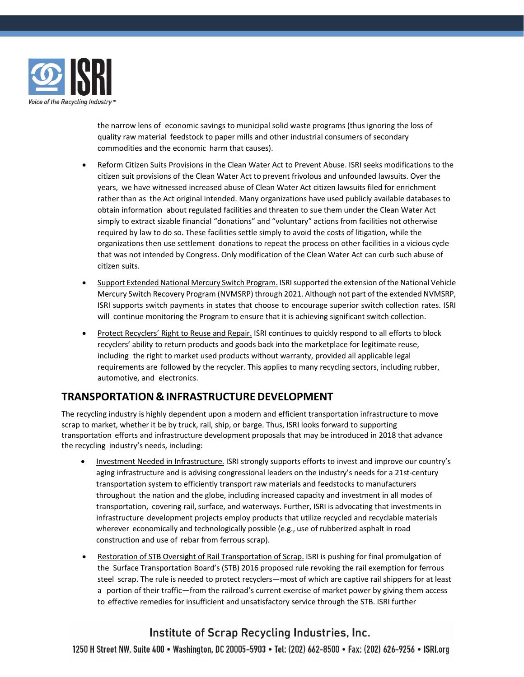

the narrow lens of economic savings to municipal solid waste programs (thus ignoring the loss of quality raw material feedstock to paper mills and other industrial consumers of secondary commodities and the economic harm that causes).

- Reform Citizen Suits Provisions in the Clean Water Act to Prevent Abuse. ISRI seeks modifications to the citizen suit provisions of the Clean Water Act to prevent frivolous and unfounded lawsuits. Over the years, we have witnessed increased abuse of Clean Water Act citizen lawsuits filed for enrichment rather than as the Act original intended. Many organizations have used publicly available databases to obtain information about regulated facilities and threaten to sue them under the Clean Water Act simply to extract sizable financial "donations" and "voluntary" actions from facilities not otherwise required by law to do so. These facilities settle simply to avoid the costs of litigation, while the organizations then use settlement donations to repeat the process on other facilities in a vicious cycle that was not intended by Congress. Only modification of the Clean Water Act can curb such abuse of citizen suits.
- Support Extended National Mercury Switch Program. ISRI supported the extension of the National Vehicle Mercury Switch Recovery Program (NVMSRP) through 2021. Although not part of the extended NVMSRP, ISRI supports switch payments in states that choose to encourage superior switch collection rates. ISRI will continue monitoring the Program to ensure that it is achieving significant switch collection.
- Protect Recyclers' Right to Reuse and Repair. ISRI continues to quickly respond to all efforts to block recyclers' ability to return products and goods back into the marketplace for legitimate reuse, including the right to market used products without warranty, provided all applicable legal requirements are followed by the recycler. This applies to many recycling sectors, including rubber, automotive, and electronics.

### **TRANSPORTATION & INFRASTRUCTUREDEVELOPMENT**

The recycling industry is highly dependent upon a modern and efficient transportation infrastructure to move scrap to market, whether it be by truck, rail, ship, or barge. Thus, ISRI looks forward to supporting transportation efforts and infrastructure development proposals that may be introduced in 2018 that advance the recycling industry's needs, including:

- Investment Needed in Infrastructure. ISRI strongly supports efforts to invest and improve our country's aging infrastructure and is advising congressional leaders on the industry's needs for a 21st-century transportation system to efficiently transport raw materials and feedstocks to manufacturers throughout the nation and the globe, including increased capacity and investment in all modes of transportation, covering rail, surface, and waterways. Further, ISRI is advocating that investments in infrastructure development projects employ products that utilize recycled and recyclable materials wherever economically and technologically possible (e.g., use of rubberized asphalt in road construction and use of rebar from ferrous scrap).
- Restoration of STB Oversight of Rail Transportation of Scrap. ISRI is pushing for final promulgation of the Surface Transportation Board's (STB) 2016 proposed rule revoking the rail exemption for ferrous steel scrap. The rule is needed to protect recyclers—most of which are captive rail shippers for at least a portion of their traffic—from the railroad's current exercise of market power by giving them access to effective remedies for insufficient and unsatisfactory service through the STB. ISRI further

## Institute of Scrap Recycling Industries, Inc.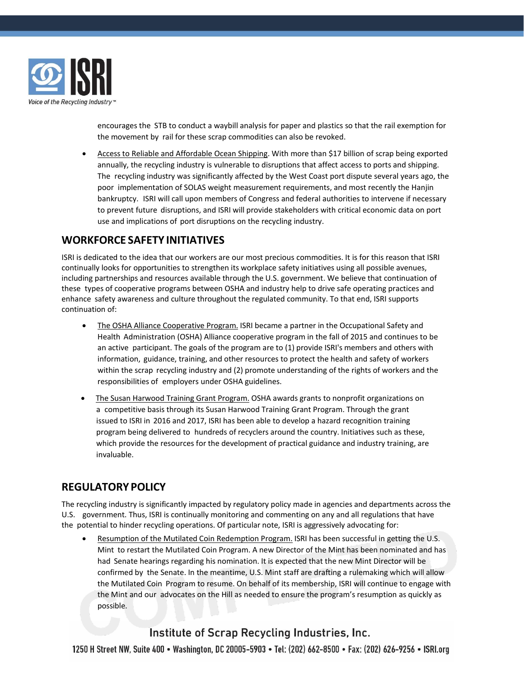

encourages the STB to conduct a waybill analysis for paper and plastics so that the rail exemption for the movement by rail for these scrap commodities can also be revoked.

• Access to Reliable and Affordable Ocean Shipping. With more than \$17 billion of scrap being exported annually, the recycling industry is vulnerable to disruptions that affect access to ports and shipping. The recycling industry was significantly affected by the West Coast port dispute several years ago, the poor implementation of SOLAS weight measurement requirements, and most recently the Hanjin bankruptcy. ISRI will call upon members of Congress and federal authorities to intervene if necessary to prevent future disruptions, and ISRI will provide stakeholders with critical economic data on port use and implications of port disruptions on the recycling industry.

#### **WORKFORCE SAFETY INITIATIVES**

ISRI is dedicated to the idea that our workers are our most precious commodities. It is for this reason that ISRI continually looks for opportunities to strengthen its workplace safety initiatives using all possible avenues, including partnerships and resources available through the U.S. government. We believe that continuation of these types of cooperative programs between OSHA and industry help to drive safe operating practices and enhance safety awareness and culture throughout the regulated community. To that end, ISRI supports continuation of:

- The OSHA Alliance Cooperative Program. ISRI became a partner in the Occupational Safety and Health Administration (OSHA) Alliance cooperative program in the fall of 2015 and continues to be an active participant. The goals of the program are to (1) provide ISRI's members and others with information, guidance, training, and other resources to protect the health and safety of workers within the scrap recycling industry and (2) promote understanding of the rights of workers and the responsibilities of employers under OSHA guidelines.
- The Susan Harwood Training Grant Program. OSHA awards grants to nonprofit organizations on a competitive basis through its Susan Harwood Training Grant Program. Through the grant issued to ISRI in 2016 and 2017, ISRI has been able to develop a hazard recognition training program being delivered to hundreds of recyclers around the country. Initiatives such as these, which provide the resources for the development of practical guidance and industry training, are invaluable.

#### **REGULATORY POLICY**

The recycling industry is significantly impacted by regulatory policy made in agencies and departments across the U.S. government. Thus, ISRI is continually monitoring and commenting on any and all regulations that have the potential to hinder recycling operations. Of particular note, ISRI is aggressively advocating for:

 Resumption of the Mutilated Coin Redemption Program. ISRI has been successful in getting the U.S. Mint to restart the Mutilated Coin Program. A new Director of the Mint has been nominated and has had Senate hearings regarding his nomination. It is expected that the new Mint Director will be confirmed by the Senate. In the meantime, U.S. Mint staff are drafting a rulemaking which will allow the Mutilated Coin Program to resume. On behalf of its membership, ISRI will continue to engage with the Mint and our advocates on the Hill as needed to ensure the program's resumption as quickly as possible.

### Institute of Scrap Recycling Industries, Inc.